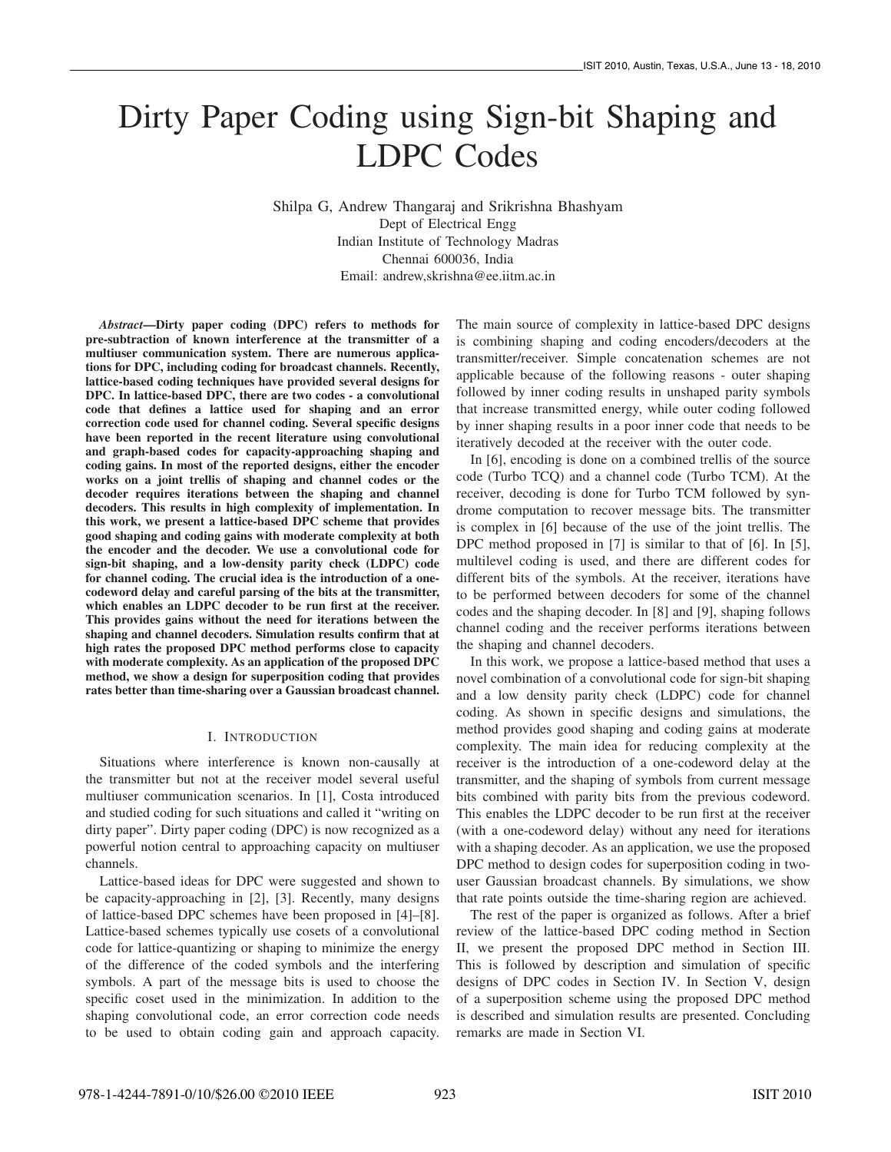# Dirty Paper Coding using Sign-bit Shaping and LDPC Codes

Shilpa G, Andrew Thangaraj and Srikrishna Bhashyam Dept of Electrical Engg Indian Institute of Technology Madras Chennai 600036, India Email: andrew,skrishna@ee.iitm.ac.in

*Abstract*—Dirty paper coding (DPC) refers to methods for pre-subtraction of known interference at the transmitter of a multiuser communication system. There are numerous applications for DPC, including coding for broadcast channels. Recently, lattice-based coding techniques have provided several designs for DPC. In lattice-based DPC, there are two codes - a convolutional code that defines a lattice used for shaping and an error correction code used for channel coding. Several specific designs have been reported in the recent literature using convolutional and graph-based codes for capacity-approaching shaping and coding gains. In most of the reported designs, either the encoder works on a joint trellis of shaping and channel codes or the decoder requires iterations between the shaping and channel decoders. This results in high complexity of implementation. In this work, we present a lattice-based DPC scheme that provides good shaping and coding gains with moderate complexity at both the encoder and the decoder. We use a convolutional code for sign-bit shaping, and a low-density parity check (LDPC) code for channel coding. The crucial idea is the introduction of a onecodeword delay and careful parsing of the bits at the transmitter, which enables an LDPC decoder to be run first at the receiver. This provides gains without the need for iterations between the shaping and channel decoders. Simulation results confirm that at high rates the proposed DPC method performs close to capacity with moderate complexity. As an application of the proposed DPC method, we show a design for superposition coding that provides rates better than time-sharing over a Gaussian broadcast channel.

# I. INTRODUCTION

Situations where interference is known non-causally at the transmitter but not at the receiver model several useful multiuser communication scenarios. In [1], Costa introduced and studied coding for such situations and called it "writing on dirty paper". Dirty paper coding (DPC) is now recognized as a powerful notion central to approaching capacity on multiuser channels.

Lattice-based ideas for DPC were suggested and shown to be capacity-approaching in [2], [3]. Recently, many designs of lattice-based DPC schemes have been proposed in [4]–[8]. Lattice-based schemes typically use cosets of a convolutional code for lattice-quantizing or shaping to minimize the energy of the difference of the coded symbols and the interfering symbols. A part of the message bits is used to choose the specific coset used in the minimization. In addition to the shaping convolutional code, an error correction code needs to be used to obtain coding gain and approach capacity.

The main source of complexity in lattice-based DPC designs is combining shaping and coding encoders/decoders at the transmitter/receiver. Simple concatenation schemes are not applicable because of the following reasons - outer shaping followed by inner coding results in unshaped parity symbols that increase transmitted energy, while outer coding followed by inner shaping results in a poor inner code that needs to be iteratively decoded at the receiver with the outer code.

In [6], encoding is done on a combined trellis of the source code (Turbo TCQ) and a channel code (Turbo TCM). At the receiver, decoding is done for Turbo TCM followed by syndrome computation to recover message bits. The transmitter is complex in [6] because of the use of the joint trellis. The DPC method proposed in [7] is similar to that of [6]. In [5], multilevel coding is used, and there are different codes for different bits of the symbols. At the receiver, iterations have to be performed between decoders for some of the channel codes and the shaping decoder. In [8] and [9], shaping follows channel coding and the receiver performs iterations between the shaping and channel decoders.

In this work, we propose a lattice-based method that uses a novel combination of a convolutional code for sign-bit shaping and a low density parity check (LDPC) code for channel coding. As shown in specific designs and simulations, the method provides good shaping and coding gains at moderate complexity. The main idea for reducing complexity at the receiver is the introduction of a one-codeword delay at the transmitter, and the shaping of symbols from current message bits combined with parity bits from the previous codeword. This enables the LDPC decoder to be run first at the receiver (with a one-codeword delay) without any need for iterations with a shaping decoder. As an application, we use the proposed DPC method to design codes for superposition coding in twouser Gaussian broadcast channels. By simulations, we show that rate points outside the time-sharing region are achieved.

The rest of the paper is organized as follows. After a brief review of the lattice-based DPC coding method in Section II, we present the proposed DPC method in Section III. This is followed by description and simulation of specific designs of DPC codes in Section IV. In Section V, design of a superposition scheme using the proposed DPC method is described and simulation results are presented. Concluding remarks are made in Section VI.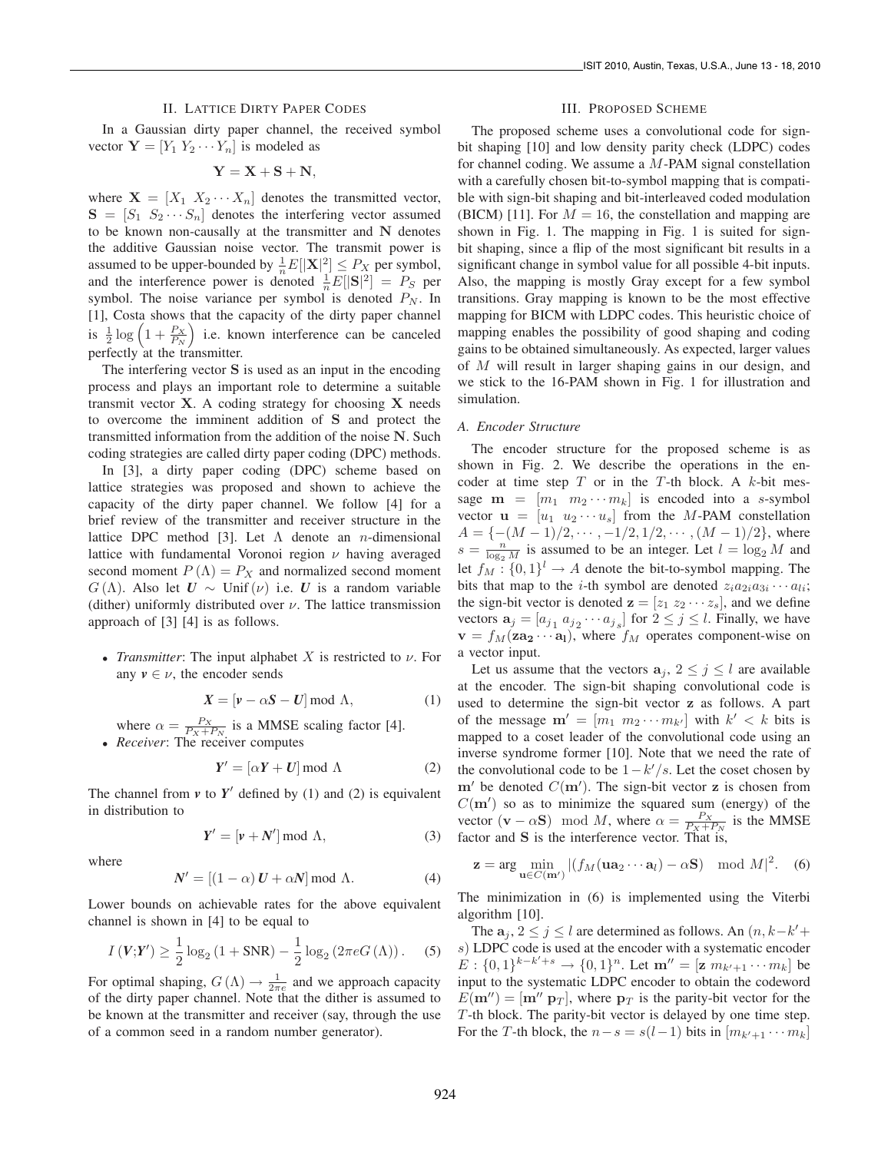# II. LATTICE DIRTY PAPER CODES

In a Gaussian dirty paper channel, the received symbol vector  $\mathbf{Y} = [Y_1 \ Y_2 \cdots Y_n]$  is modeled as

$$
\mathbf{Y} = \mathbf{X} + \mathbf{S} + \mathbf{N},
$$

where  $\mathbf{X} = [X_1 \ X_2 \cdots X_n]$  denotes the transmitted vector,  $S = [S_1 \ S_2 \cdots S_n]$  denotes the interfering vector assumed to be known non-causally at the transmitter and **N** denotes the additive Gaussian noise vector. The transmit power is assumed to be upper-bounded by  $\frac{1}{n}E[|\mathbf{X}|^2] \leq P_X$  per symbol,<br>and the interference power is denoted  $\frac{1}{n}E[|\mathbf{S}|^2] = P_X$  per and the interference power is denoted  $\frac{1}{n}E[|\mathbf{S}|^2] = P_S$  per symbol. The noise variance per symbol is denoted  $P_N$ . In symbol. The noise variance per symbol is denoted  $P_N$ . In [1], Costa shows that the capacity of the dirty paper channel is  $\frac{1}{2}$  log  $\left(1 + \frac{P_X}{P_N}\right)$  i.e. known interference can be canceled perfectly at the transmitter.

The interfering vector **S** is used as an input in the encoding process and plays an important role to determine a suitable transmit vector **X**. A coding strategy for choosing **X** needs to overcome the imminent addition of **S** and protect the transmitted information from the addition of the noise **N**. Such coding strategies are called dirty paper coding (DPC) methods.

In [3], a dirty paper coding (DPC) scheme based on lattice strategies was proposed and shown to achieve the capacity of the dirty paper channel. We follow [4] for a brief review of the transmitter and receiver structure in the lattice DPC method [3]. Let  $\Lambda$  denote an *n*-dimensional lattice with fundamental Voronoi region  $\nu$  having averaged second moment  $P(\Lambda) = P_X$  and normalized second moment  $G(\Lambda)$ . Also let  $U \sim$  Unif (v) i.e. *U* is a random variable (dither) uniformly distributed over  $\nu$ . The lattice transmission approach of [3] [4] is as follows.

• *Transmitter*: The input alphabet X is restricted to  $\nu$ . For any  $v \in \nu$ , the encoder sends

$$
X = [\nu - \alpha S - U] \bmod \Lambda, \tag{1}
$$

where  $\alpha = \frac{P_X}{P_X + P_N}$  is a MMSE scaling factor [4].<br>Receiver: The receiver computes • *Receiver*: The receiver computes

$$
Y' = [\alpha Y + U] \bmod \Lambda \tag{2}
$$

The channel from  $v$  to  $Y'$  defined by (1) and (2) is equivalent in distribution to

$$
Y' = [\nu + N'] \bmod \Lambda,\tag{3}
$$

where

$$
N' = [(1 - \alpha) U + \alpha N] \bmod \Lambda.
$$
 (4)

Lower bounds on achievable rates for the above equivalent channel is shown in [4] to be equal to

$$
I(V;Y') \ge \frac{1}{2}\log_2(1 + SNR) - \frac{1}{2}\log_2(2\pi eG(\Lambda)).
$$
 (5)

For optimal shaping,  $G(\Lambda) \to \frac{1}{2\pi e}$  and we approach capacity<br>of the dirty paper channel. Note that the dither is assumed to of the dirty paper channel. Note that the dither is assumed to be known at the transmitter and receiver (say, through the use of a common seed in a random number generator).

# III. PROPOSED SCHEME

The proposed scheme uses a convolutional code for signbit shaping [10] and low density parity check (LDPC) codes for channel coding. We assume a M-PAM signal constellation with a carefully chosen bit-to-symbol mapping that is compatible with sign-bit shaping and bit-interleaved coded modulation (BICM) [11]. For  $M = 16$ , the constellation and mapping are shown in Fig. 1. The mapping in Fig. 1 is suited for signbit shaping, since a flip of the most significant bit results in a significant change in symbol value for all possible 4-bit inputs. Also, the mapping is mostly Gray except for a few symbol transitions. Gray mapping is known to be the most effective mapping for BICM with LDPC codes. This heuristic choice of mapping enables the possibility of good shaping and coding gains to be obtained simultaneously. As expected, larger values of M will result in larger shaping gains in our design, and we stick to the 16-PAM shown in Fig. 1 for illustration and simulation.

## *A. Encoder Structure*

The encoder structure for the proposed scheme is as shown in Fig. 2. We describe the operations in the encoder at time step  $T$  or in the  $T$ -th block. A  $k$ -bit message  $\mathbf{m} = [m_1 \ m_2 \cdots m_k]$  is encoded into a s-symbol vector  $\mathbf{u} = [u_1 \ u_2 \cdots u_s]$  from the M-PAM constellation  $A = \{-(M-1)/2, \cdots, -1/2, 1/2, \cdots, (M-1)/2\}$ , where  $s = \frac{n}{\log_2 M}$  is assumed to be an integer. Let  $l = \log_2 M$  and<br>let  $f = \log_2 10^{-1} l$  is denote the bit to symbol mapping. The let  $f_M : \{0,1\}^l \to A$  denote the bit-to-symbol mapping. The bits that map to the *i*-th symbol are denoted  $z_i a_{2i} a_{3i} \cdots a_{li}$ ; the sign-bit vector is denoted  $z = [z_1 \ z_2 \cdots z_s]$ , and we define vectors  $\mathbf{a}_j = [a_{j1} \ a_{j2} \cdots a_{j_s}]$  for  $2 \leq j \leq l$ . Finally, we have  $\mathbf{v} = f_M(\mathbf{z}\mathbf{a}_2 \cdots \mathbf{a}_l)$ , where  $f_M$  operates component-wise on a vector input.

Let us assume that the vectors  $a_j$ ,  $2 \leq j \leq l$  are available at the encoder. The sign-bit shaping convolutional code is used to determine the sign-bit vector **z** as follows. A part of the message  $\mathbf{m}' = [m_1 \ m_2 \cdots m_{k'}]$  with  $k' < k$  bits is mapped to a coset leader of the convolutional code using an inverse syndrome former [10]. Note that we need the rate of the convolutional code to be  $1 - k'/s$ . Let the coset chosen by  $m'$  be denoted  $C(m')$ . The sign-bit vector **z** is chosen from  $C(\mathbf{m}')$  so as to minimize the squared sum (energy) of the vector (**v** −  $\alpha$ **S**) mod *M*, where  $\alpha = \frac{P_X}{P_X + P_N}$  is the MMSE factor and **S** is the interference vector. That is,

$$
\mathbf{z} = \arg\min_{\mathbf{u}\in C(\mathbf{m}')} |(f_M(\mathbf{u}\mathbf{a}_2\cdots\mathbf{a}_l) - \alpha \mathbf{S}) \mod M|^2. \quad (6)
$$

The minimization in (6) is implemented using the Viterbi algorithm [10].

The  $a_j$ ,  $2 \le j \le l$  are determined as follows. An  $(n, k-k')$ <br>**I** DPC and is used at the appedent with a systematic appedent s) LDPC code is used at the encoder with a systematic encoder  $E: \{0,1\}^{k-k'+s} \to \{0,1\}^n$ . Let  $\mathbf{m}'' = [\mathbf{z} \ m_{k'+1} \cdots m_k]$  be<br>input to the systematic LDDC angeles to obtain the codeword input to the systematic LDPC encoder to obtain the codeword  $E(\mathbf{m}^{\prime\prime}) = [\mathbf{m}^{\prime\prime} \mathbf{p}_T]$ , where  $\mathbf{p}_T$  is the parity-bit vector for the T-th block. The parity-bit vector is delayed by one time step. For the T-th block, the  $n-s = s(l-1)$  bits in  $[m_{k'+1} \cdots m_k]$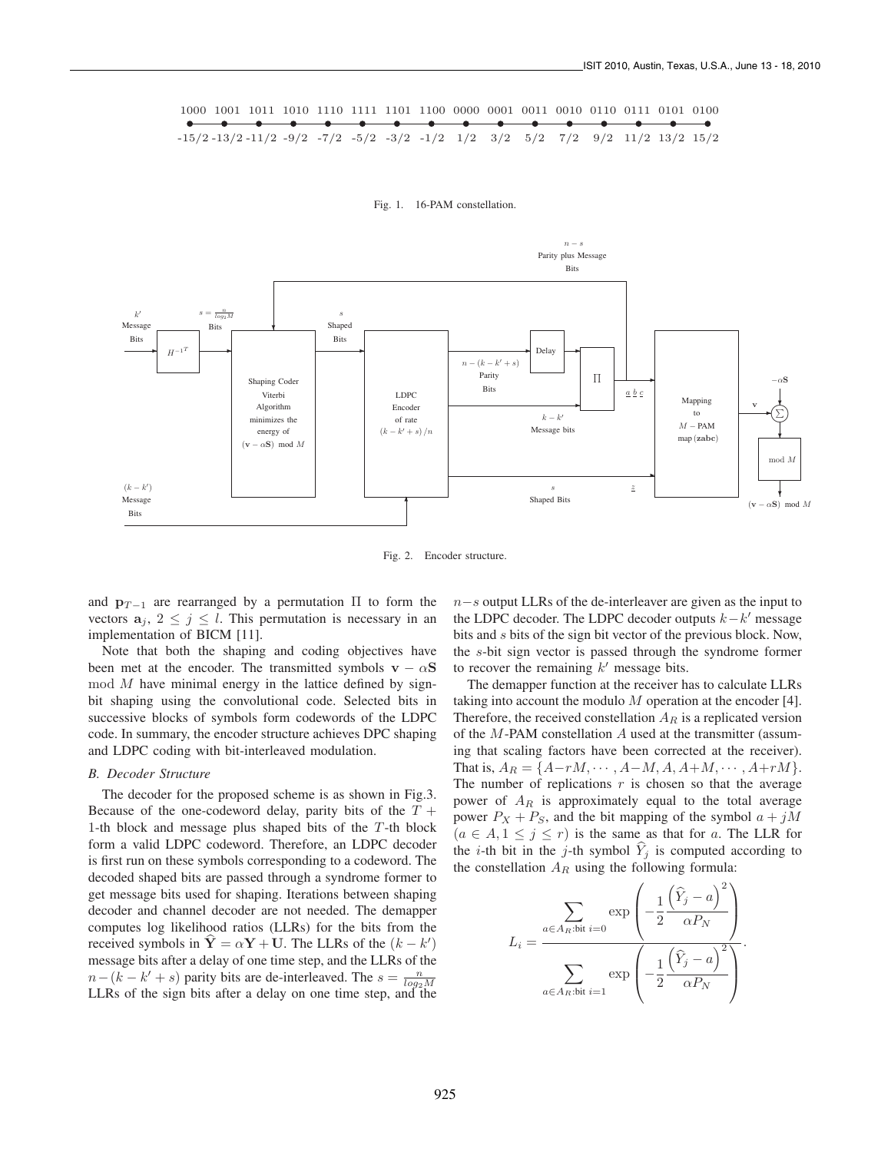|  | 1000 1001 1011 1010 1110 1111 1101 1100 0000 0001 0011 0010 0110 0111 0101 0100                        |  |  |  |  |  |  |  |
|--|--------------------------------------------------------------------------------------------------------|--|--|--|--|--|--|--|
|  | .                                                                                                      |  |  |  |  |  |  |  |
|  | $-15/2 - 13/2 - 11/2 - 9/2 - 7/2 - 5/2 - 3/2 - 1/2$ $1/2$ $3/2$ $5/2$ $7/2$ $9/2$ $11/2$ $13/2$ $15/2$ |  |  |  |  |  |  |  |

Fig. 1. 16-PAM constellation.



Fig. 2. Encoder structure.

and  $p_{T-1}$  are rearranged by a permutation  $\Pi$  to form the vectors  $a_j$ ,  $2 \leq j \leq l$ . This permutation is necessary in an implementation of BICM [11].

Note that both the shaping and coding objectives have been met at the encoder. The transmitted symbols  $\mathbf{v} - \alpha \mathbf{S}$  $mod\ M$  have minimal energy in the lattice defined by signbit shaping using the convolutional code. Selected bits in successive blocks of symbols form codewords of the LDPC code. In summary, the encoder structure achieves DPC shaping and LDPC coding with bit-interleaved modulation.

#### *B. Decoder Structure*

The decoder for the proposed scheme is as shown in Fig.3. Because of the one-codeword delay, parity bits of the  $T +$ 1-th block and message plus shaped bits of the T-th block form a valid LDPC codeword. Therefore, an LDPC decoder is first run on these symbols corresponding to a codeword. The decoded shaped bits are passed through a syndrome former to get message bits used for shaping. Iterations between shaping decoder and channel decoder are not needed. The demapper computes log likelihood ratios (LLRs) for the bits from the received symbols in  $Y = \alpha Y + U$ . The LLRs of the  $(k - k')$ message bits after a delay of one time step, and the LLRs of the  $n-(k-k'+s)$  parity bits are de-interleaved. The  $s = \frac{n}{log_2}$ LLRs of the sign bits after a delay on one time step, and the n−s output LLRs of the de-interleaver are given as the input to the LDPC decoder. The LDPC decoder outputs  $k - k'$  message bits and s bits of the sign bit vector of the previous block. Now, the s-bit sign vector is passed through the syndrome former to recover the remaining  $k'$  message bits.

The demapper function at the receiver has to calculate LLRs taking into account the modulo  $M$  operation at the encoder [4]. Therefore, the received constellation  $A_R$  is a replicated version of the M-PAM constellation A used at the transmitter (assuming that scaling factors have been corrected at the receiver). That is,  $A_R = \{A - rM, \dots, A - M, A, A + M, \dots, A + rM\}.$ The number of replications  $r$  is chosen so that the average power of  $A_R$  is approximately equal to the total average power  $P_X + P_S$ , and the bit mapping of the symbol  $a + jM$  $(a \in A, 1 \leq j \leq r)$  is the same as that for a. The LLR for the *i*-th bit in the *j*-th symbol  $\hat{Y}_i$  is computed according to the constellation  $A_R$  using the following formula:

$$
L_{i} = \frac{\sum_{a \in A_{R}: \text{bit } i=0} \exp\left(-\frac{1}{2} \frac{\left(\widehat{Y}_{j} - a\right)^{2}}{\alpha P_{N}}\right)}{\sum_{a \in A_{R}: \text{bit } i=1} \exp\left(-\frac{1}{2} \frac{\left(\widehat{Y}_{j} - a\right)^{2}}{\alpha P_{N}}\right)}.
$$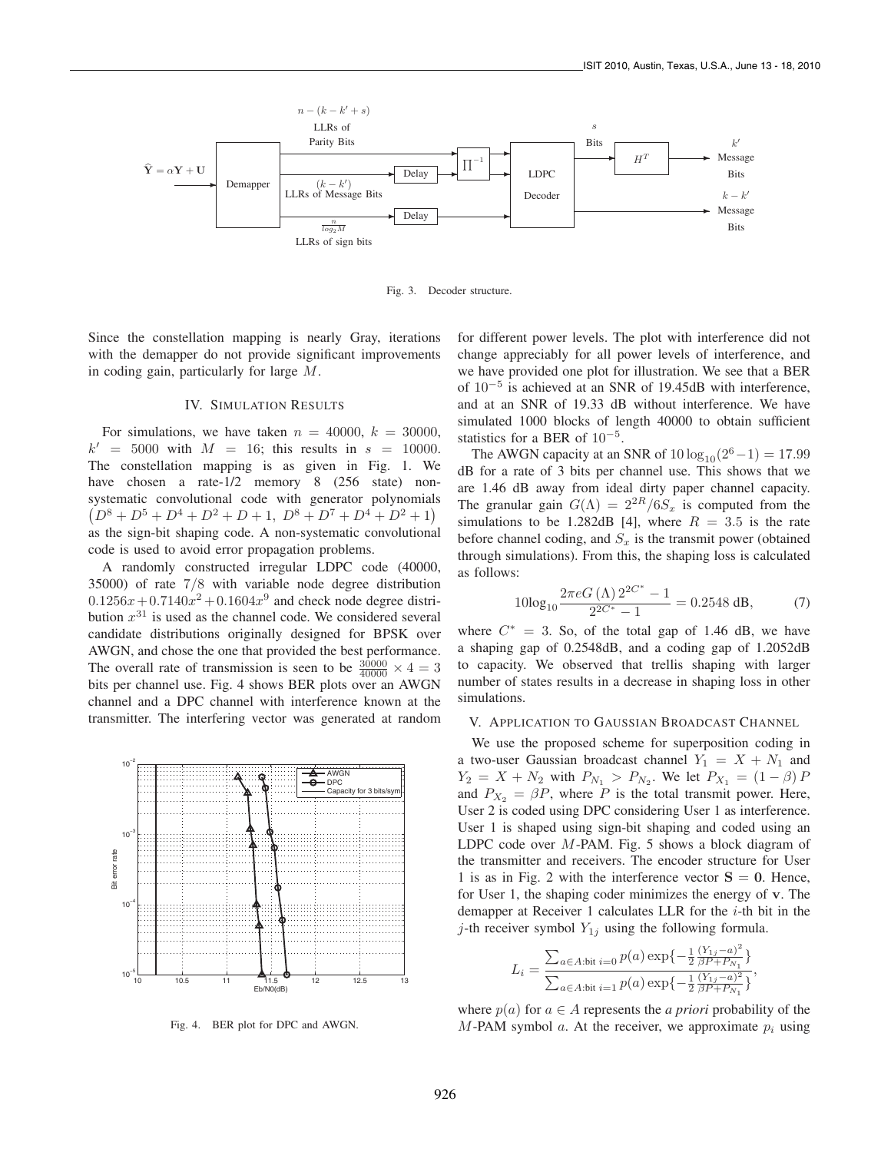

Fig. 3. Decoder structure.

Since the constellation mapping is nearly Gray, iterations with the demapper do not provide significant improvements in coding gain, particularly for large M.

## IV. SIMULATION RESULTS

For simulations, we have taken  $n = 40000$ ,  $k = 30000$ ,  $k' = 5000$  with  $M = 16$ ; this results in  $s = 10000$ . The constellation mapping is as given in Fig. 1. We have chosen a rate-1/2 memory 8 (256 state) nonsystematic convolutional code with generator polynomials  $(D^8 + D^5 + D^4 + D^2 + D + 1, D^8 + D^7 + D^4 + D^2 + 1)$ as the sign-bit shaping code. A non-systematic convolutional code is used to avoid error propagation problems.

A randomly constructed irregular LDPC code (40000, 35000) of rate 7/8 with variable node degree distribution  $0.1256x + 0.7140x^{2} + 0.1604x^{9}$  and check node degree distribution  $x^{31}$  is used as the channel code. We considered several candidate distributions originally designed for BPSK over AWGN, and chose the one that provided the best performance. The overall rate of transmission is seen to be  $\frac{30000}{40000} \times 4 = 3$ <br>hits per channel use. Fig. 4 shows BER plots over an AWGN bits per channel use. Fig. 4 shows BER plots over an AWGN channel and a DPC channel with interference known at the transmitter. The interfering vector was generated at random



Fig. 4. BER plot for DPC and AWGN.

for different power levels. The plot with interference did not change appreciably for all power levels of interference, and we have provided one plot for illustration. We see that a BER of 10<sup>−</sup><sup>5</sup> is achieved at an SNR of 19.45dB with interference, and at an SNR of 19.33 dB without interference. We have simulated 1000 blocks of length 40000 to obtain sufficient statistics for a BER of  $10^{-5}$ .

The AWGN capacity at an SNR of  $10 \log_{10}(2^6 - 1) = 17.99$ dB for a rate of 3 bits per channel use. This shows that we are 1.46 dB away from ideal dirty paper channel capacity. The granular gain  $G(\Lambda) = 2^{2R}/6S_x$  is computed from the simulations to be 1.282dB [4], where  $R = 3.5$  is the rate before channel coding, and  $S<sub>x</sub>$  is the transmit power (obtained through simulations). From this, the shaping loss is calculated as follows:

$$
10\log_{10} \frac{2\pi e G \left(\Lambda\right) 2^{2C^*} - 1}{2^{2C^*} - 1} = 0.2548 \text{ dB},\tag{7}
$$

where  $C^* = 3$ . So, of the total gap of 1.46 dB, we have a shaping gap of 0.2548dB, and a coding gap of 1.2052dB to capacity. We observed that trellis shaping with larger number of states results in a decrease in shaping loss in other simulations.

## V. APPLICATION TO GAUSSIAN BROADCAST CHANNEL

We use the proposed scheme for superposition coding in a two-user Gaussian broadcast channel  $Y_1 = X + N_1$  and  $Y_2 = X + N_2$  with  $P_{N_1} > P_{N_2}$ . We let  $P_{X_1} = (1 - \beta) P$ and  $P_{X_2} = \beta P$ , where P is the total transmit power. Here, User 2 is coded using DPC considering User 1 as interference. User 1 is shaped using sign-bit shaping and coded using an LDPC code over M-PAM. Fig. 5 shows a block diagram of the transmitter and receivers. The encoder structure for User 1 is as in Fig. 2 with the interference vector  $S = 0$ . Hence, for User 1, the shaping coder minimizes the energy of **v**. The demapper at Receiver 1 calculates LLR for the  $i$ -th bit in the j-th receiver symbol  $Y_{1j}$  using the following formula.

$$
L_i = \frac{\sum_{a \in A:\text{bit }i=0} p(a) \exp\{-\frac{1}{2} \frac{(Y_{1j}-a)^2}{\beta P + P_{N_1}}\}}{\sum_{a \in A:\text{bit }i=1} p(a) \exp\{-\frac{1}{2} \frac{(Y_{1j}-a)^2}{\beta P + P_{N_1}}\}}
$$

,

where  $p(a)$  for  $a \in A$  represents the *a priori* probability of the M-PAM symbol a. At the receiver, we approximate  $p_i$  using